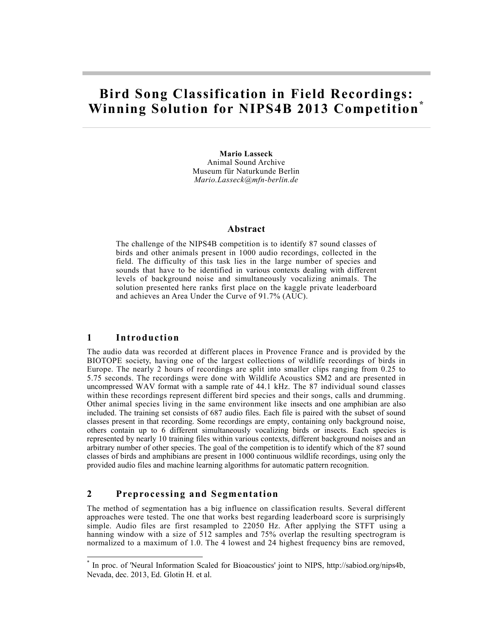# **Bird Song Classification in Field Recordings: Winning Solution for NIPS4B 2013 Competition\***

**Mario Lasseck** Animal Sound Archive Museum für Naturkunde Berlin *Mario.Lasseck@mfn-berlin.de*

#### **Abstract**

The challenge of the NIPS4B competition is to identify 87 sound classes of birds and other animals present in 1000 audio recordings, collected in the field. The difficulty of this task lies in the large number of species and sounds that have to be identified in various contexts dealing with different levels of background noise and simultaneously vocalizing animals. The solution presented here ranks first place on the kaggle private leaderboard and achieves an Area Under the Curve of 91.7% (AUC).

### **1 Introduction**

 $\overline{a}$ 

The audio data was recorded at different places in Provence France and is provided by the BIOTOPE society, having one of the largest collections of wildlife recordings of birds in Europe. The nearly 2 hours of recordings are split into smaller clips ranging from 0.25 to 5.75 seconds. The recordings were done with Wildlife Acoustics SM2 and are presented in uncompressed WAV format with a sample rate of 44.1 kHz. The 87 individual sound classes within these recordings represent different bird species and their songs, calls and drumming. Other animal species living in the same environment like insects and one amphibian are also included. The training set consists of 687 audio files. Each file is paired with the subset of sound classes present in that recording. Some recordings are empty, containing only background noise, others contain up to 6 different simultaneously vocalizing birds or insects. Each species is represented by nearly 10 training files within various contexts, different background noises and an arbitrary number of other species. The goal of the competition is to identify which of the 87 sound classes of birds and amphibians are present in 1000 continuous wildlife recordings, using only the provided audio files and machine learning algorithms for automatic pattern recognition.

### **2 Preprocessing and Segmentation**

The method of segmentation has a big influence on classification results. Several different approaches were tested. The one that works best regarding leaderboard score is surprisingly simple. Audio files are first resampled to 22050 Hz. After applying the STFT using a hanning window with a size of 512 samples and 75% overlap the resulting spectrogram is normalized to a maximum of 1.0. The 4 lowest and 24 highest frequency bins are removed,

<sup>\*</sup> In proc. of 'Neural Information Scaled for Bioacoustics' joint to NIPS, http://sabiod.org/nips4b, Nevada, dec. 2013, Ed. Glotin H. et al.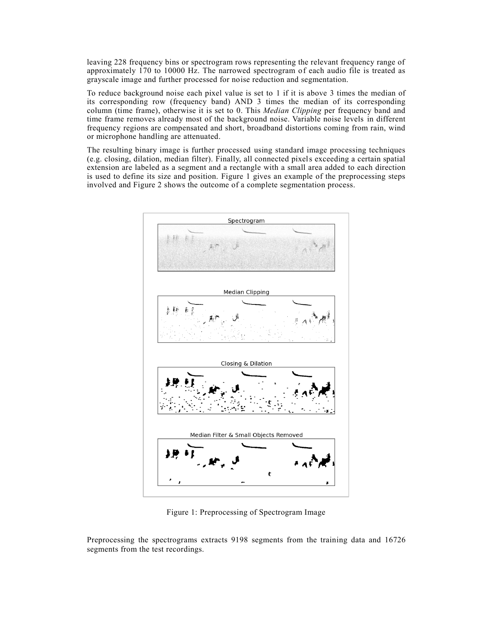leaving 228 frequency bins or spectrogram rows representing the relevant frequency range of approximately 170 to 10000 Hz. The narrowed spectrogram of each audio file is treated as grayscale image and further processed for noise reduction and segmentation.

To reduce background noise each pixel value is set to 1 if it is above 3 times the median of its corresponding row (frequency band) AND 3 times the median of its corresponding column (time frame), otherwise it is set to 0. This *Median Clipping* per frequency band and time frame removes already most of the background noise. Variable noise levels in different frequency regions are compensated and short, broadband distortions coming from rain, wind or microphone handling are attenuated.

The resulting binary image is further processed using standard image processing techniques (e.g. closing, dilation, median filter). Finally, all connected pixels exceeding a certain spatial extension are labeled as a segment and a rectangle with a small area added to each direction is used to define its size and position. Figure 1 gives an example of the preprocessing steps involved and Figure 2 shows the outcome of a complete segmentation process.



Figure 1: Preprocessing of Spectrogram Image

Preprocessing the spectrograms extracts 9198 segments from the training data and 16726 segments from the test recordings.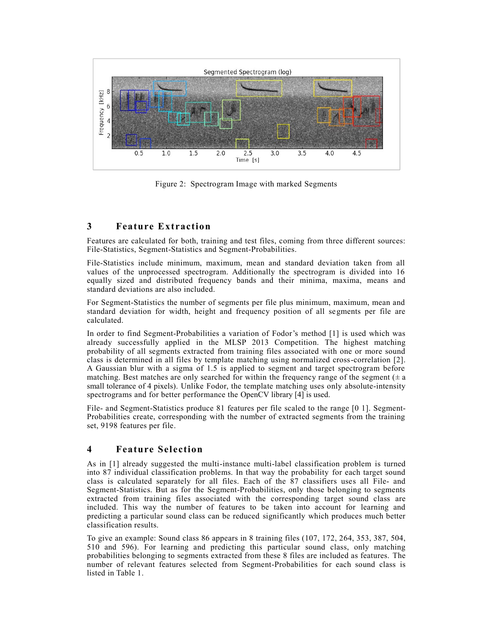

Figure 2: Spectrogram Image with marked Segments

### **3 Feature Extraction**

Features are calculated for both, training and test files, coming from three different sources: File-Statistics, Segment-Statistics and Segment-Probabilities.

File-Statistics include minimum, maximum, mean and standard deviation taken from all values of the unprocessed spectrogram. Additionally the spectrogram is divided into 16 equally sized and distributed frequency bands and their minima, maxima, means and standard deviations are also included.

For Segment-Statistics the number of segments per file plus minimum, maximum, mean and standard deviation for width, height and frequency position of all segments per file are calculated.

In order to find Segment-Probabilities a variation of Fodor's method [1] is used which was already successfully applied in the MLSP 2013 Competition. The highest matching probability of all segments extracted from training files associated with one or more sound class is determined in all files by template matching using normalized cross-correlation [2]. A Gaussian blur with a sigma of 1.5 is applied to segment and target spectrogram before matching. Best matches are only searched for within the frequency range of the segment  $(± a)$ small tolerance of 4 pixels). Unlike Fodor, the template matching uses only absolute-intensity spectrograms and for better performance the OpenCV library [4] is used.

File- and Segment-Statistics produce 81 features per file scaled to the range [0 1]. Segment-Probabilities create, corresponding with the number of extracted segments from the training set, 9198 features per file.

## **4 Feature Selection**

As in [1] already suggested the multi-instance multi-label classification problem is turned into 87 individual classification problems. In that way the probability for each target sound class is calculated separately for all files. Each of the 87 classifiers uses all File- and Segment-Statistics. But as for the Segment-Probabilities, only those belonging to segments extracted from training files associated with the corresponding target sound class are included. This way the number of features to be taken into account for learning and predicting a particular sound class can be reduced significantly which produces much better classification results.

To give an example: Sound class 86 appears in 8 training files (107, 172, 264, 353, 387, 504, 510 and 596). For learning and predicting this particular sound class, only matching probabilities belonging to segments extracted from these 8 files are included as features. The number of relevant features selected from Segment-Probabilities for each sound class is listed in Table 1.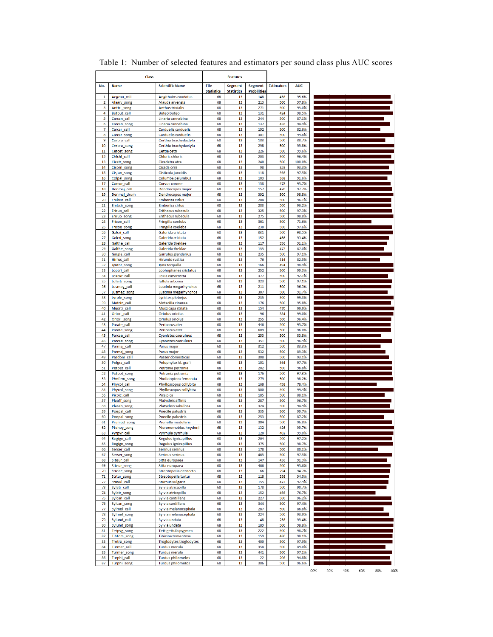|          | <b>Class</b>               |                                                  |                         | <b>Features</b>         |                           |                   |                 |  |
|----------|----------------------------|--------------------------------------------------|-------------------------|-------------------------|---------------------------|-------------------|-----------------|--|
| No.      | <b>Name</b>                | <b>Scientific Name</b>                           | File                    | <b>Segment</b>          | <b>Segment</b>            | <b>Estimators</b> | <b>AUC</b>      |  |
| 1        | Aegcau_call                | Aegithalos caudatus                              | <b>Statistics</b><br>68 | <b>Statistics</b><br>13 | <b>Probilities</b><br>148 | 458               | 95.6%           |  |
| 2        | Alaarv_song                | Alauda arvensis                                  | 68                      | 13                      | 213                       | 500               | 97.8%           |  |
| 3        | Anttri_song                | <b>Anthus trivialis</b>                          | 68                      | 13                      | 271                       | 500               | 95.0%           |  |
| 4        | Butbut_call                | <b>Buteo buteo</b>                               | 68                      | 13                      | 131                       | 424               | 98.5%           |  |
| 5        | Carcan call                | Linaria cannabina                                | 68                      | 13                      | 244                       | 500               | 87.1%           |  |
| 6<br>7   | Carcan_song<br>Carcar call | Linaria cannabina<br>Carduelis carduelis         | 68<br>68                | 13<br>13                | 137<br>192                | 436<br>500        | 94.9%<br>82.6%  |  |
| 8        | Carcar_song                | Carduelis carduelis                              | 68                      | 13                      | 301                       | 500               | 99.8%           |  |
| 9        | Cerbra call                | Certhia brachydactyla                            | 68                      | 13                      | 183                       | 500               | 88.7%           |  |
| 10       | Cerbra_song                | Certhia brachydactyla                            | 68                      | 13                      | 298                       | 500               | 99.8%           |  |
| 11       | Cetcet_song                | Cettia cetti                                     | 68                      | 13                      | 226                       | 500               | 99.6%           |  |
| 12<br>13 | Chichi_call<br>Cicatr song | <b>Chloris chloris</b><br>Cicadatra atra         | 68<br>68                | 13<br>13                | 203<br>240                | 500<br>500        | 96.4%<br>100.0% |  |
| 14       | Cicorn_song                | Cicada orni                                      | 68                      | 13                      | 98                        | 358               | 93.3%           |  |
| 15       | Cisjun_song                | Cisticola juncidis                               | 68                      | 13                      | 118                       | 398               | 97.5%           |  |
| 16       | Colpal_song                | Columba palumbus                                 | 68                      | 13                      | 103                       | 368               | 91.6%           |  |
| 17       | Corcor call                | Corvus corone                                    | 68                      | 13                      | 158                       | 478               | 95.7%           |  |
| 18       | Denmaj_call                | Dendrocopos major                                | 68                      | 13                      | 157                       | 476               | 97.7%           |  |
| 19<br>20 | Denmaj drum<br>Embcir_call | Dendrocopos major<br>Emberiza cirlus             | 68<br>68                | 13<br>13                | 392<br>208                | 500<br>500        | 98.8%<br>96.1%  |  |
| 21       | Embcir_song                | Emberiza cirlus                                  | 68                      | 13                      | 283                       | 500               | 96.2%           |  |
| 22       | Erirub_call                | Erithacus rubecula                               | 68                      | 13                      | 325                       | 500               | 97.3%           |  |
| 23       | Erirub_song                | Erithacus rubecula                               | 68                      | 13                      | 275                       | 500               | 98.8%           |  |
| 24       | Fricoe_call                | Fringilla coelebs                                | 68                      | 13                      | 361                       | 500               | 71.6%           |  |
| 25<br>26 | Fricoe_song<br>Galcri call | Fringilla coelebs<br>Galerida cristata           | 68<br>68                | 13<br>13                | 230<br>331                | 500<br>500        | 97.6%<br>98.5%  |  |
| 27       | Galcri_song                | Galerida cristata                                | 68                      | 13                      | 152                       | 466               | 93.4%           |  |
| 28       | Galthe_call                | Galerida theklae                                 | 68                      | 13                      | 117                       | 396               | 91.1%           |  |
| 29       | Galthe song                | Galerida theklae                                 | 68                      | 13                      | 155                       | 472               | 87.0%           |  |
| 30       | Gargla_call                | Garrulus glandarius                              | 68                      | 13                      | 235                       | 500               | 97.1%           |  |
| 31       | Hirrus_call                | Hirundo rustica                                  | 68                      | 13                      | 76                        | 314               | 82.5%           |  |
| 32<br>33 | Jyntor_song<br>Lopcri_call | Jynx torquilla<br>Lophophanes cristatus          | 68<br>68                | 13<br>13                | 166<br>252                | 494<br>500        | 98.9%<br>99.3%  |  |
| 34       | Loxcur_call                | Loxia curvirostra                                | 68                      | 13                      | 377                       | 500               | 92.1%           |  |
| 35       | Lularb song                | Iullula arborea                                  | 68                      | 13                      | 323                       | 500               | 97.1%           |  |
| 36       | Lusmeg_call                | Luscinia megarhynchos                            | 68                      | 13                      | 211                       | 500               | 96.3%           |  |
| 37       | Lusmeg_song                | Luscinia megarhynchos                            | 68                      | 13                      | 307                       | 500               | 91.7%           |  |
| 38       | Lyrple_song                | Lyristes plebejus                                | 68                      | 13                      | 235                       | 500               | 99.3%           |  |
| 39<br>40 | Motcin_call<br>Musstr_call | Motacilla cinerea<br>Muscicapa striata           | 68<br>68                | 13<br>13                | 176<br>154                | 500<br>470        | 95.8%<br>99.9%  |  |
| 41       | Oriori_call                | Oriolus oriolus                                  | 68                      | 13                      | 96                        | 354               | 99.0%           |  |
| 42       | Oriori_song                | Oriolus oriolus                                  | 68                      | 13                      | 255                       | 500               | 96.4%           |  |
| 43       | Parate_call                | Periparus ater                                   | 68                      | 13                      | 446                       | 500               | 95.7%           |  |
| 44       | Parate_song                | Periparus ater                                   | 68                      | 13                      | 609                       | 500               | 96.0%           |  |
| 45       | Parcae_call                | <b>Cyanistes caeruleus</b>                       | 68                      | 13                      | 253                       | 500               | 83.8%           |  |
| 46<br>47 | Parcae_song<br>Parmaj_call | Cyanistes caeruleus<br>Parus major               | 68<br>68                | 13<br>13                | 351<br>312                | 500<br>500        | 96.9%<br>83.3%  |  |
| 48       | Parmaj_song                | Parus major                                      | 68                      | 13                      | 532                       | 500               | 89.3%           |  |
| 49       | Pasdom_call                | Passer domesticus                                | 68                      | 13                      | 308                       | 500               | 93.1%           |  |
| 50       | Pelgra_call                | Pelophylax kl. grafi                             | 68                      | 13                      | 101                       | 364               | 97.7%           |  |
| 51       | Petpet_call                | Petronia petronia                                | 68                      | 13                      | 202                       | 500               | 96.8%           |  |
| 52<br>53 | Petpet_song<br>Phofem song | Petronia petronia<br>Pholidoptera femorata       | 68<br>68                | 13<br>13                | 176<br>279                | 500<br>500        | 97.3%<br>98.2%  |  |
| 54       | Phycol call                | Phylloscopus collybita                           | 68                      | 13                      | 168                       | 498               | 78.4%           |  |
| 55       | Phycol_song                | Phylloscopus collybita                           | 68                      | 13                      | 500                       | 500               | 99.4%           |  |
| 56       | Picpic_call                | Pica pica                                        | 68                      | 13                      | 185                       | 500               | 88.1%           |  |
| 57       | Plaaff_song                | Platycleis affinis                               | 68                      | 13                      | 287                       | 500               | 96.7%           |  |
| 58       | Plasab_song                | Platycleis sabulosa                              | 68                      | 13                      | 324                       | 500               | 94.9%           |  |
| 59<br>60 | Poepal_call<br>Poepal_song | Poecile palustris<br>Poecile palustris           | 68<br>68                | 13<br>13                | 335<br>253                | 500<br>500        | 99.7%<br>87.2%  |  |
| 61       | Prumod_song                | Prunella modularis                               | 68                      | 13                      | 304                       | 500               | 96.8%           |  |
| 62       | Ptehey_song                | Pteronemobius heydenii                           | 68                      | 13                      | 132                       | 426               | 99.7%           |  |
| 63       | Pyrpyr<br>call             | Pyrrhula pyrrhula                                | 58                      | 13                      | 120                       | 402               | 99.0%           |  |
| 64       | Regign_call                | Regulus ignicapillus                             | 68                      | 13                      | 264                       | 500               | 97.2%           |  |
| 65<br>66 | Regign_song<br>Serser call | Regulus ignicapillus<br>Serinus serinus          | 68<br>68                | 13<br>13                | 375<br>178                | 500<br>500        | 98.7%<br>80.1%  |  |
| 67       | Serser_song                | Serinus serinus                                  | 68                      | 13                      | 465                       | 500               | 97.5%           |  |
| 68       | Siteur_call                | Sitta europaea                                   | 68                      | 13                      | 147                       | 456               | 91.3%           |  |
| 69       | Siteur_song                | Sitta europaea                                   | 68                      | 13                      | 466                       | 500               | 95.6%           |  |
| 70       | Strdec_song                | Streptopelia decaocto                            | 68                      | 13                      | 66                        | 294               | 94.7%           |  |
| 71       | Strtur_song                | Streptopelia turtur                              | 68<br>68                | 13<br>13                | 118<br>155                | 398<br>472        | 94.0%<br>92.9%  |  |
| 72<br>73 | Stuvul_call<br>Sylatr call | <b>Sturnus vulgaris</b><br>Sylvia atricapilla    | 68                      | 13                      | 178                       | 500               | 90.7%           |  |
| 74       | Sylatr song                | Sylvia atricapilla                               | 68                      | 13                      | 152                       | 466               | 76.7%           |  |
| 75       | Sylcan_call                | Sylvia cantillans                                | 68                      | 13                      | 227                       | 500               | 96.2%           |  |
| 76       | Sylcan_song                | Sylvia cantillans                                | 68                      | 13                      | 344                       | 500               | 97.4%           |  |
| 77       | Sylmel_call                | Sylvia melanocephala                             | 68                      | 13                      | 287                       | 500               | 86.8%           |  |
| 78       | Sylmel_song                | Sylvia melanocephala                             | 68                      | 13                      | 224                       | 500               | 93.9%           |  |
| 79<br>80 | Sylund_call<br>Sylund_song | Sylvia undata<br>Sylvia undata                   | 68<br>68                | 13<br>13                | 48<br>189                 | 258<br>500        | 99.4%<br>98.8%  |  |
| 81       | Tetpyg_song                | Tettigettula pygmea                              | 68                      | 13                      | 222                       | 500               | 98.7%           |  |
| 82       | Tibtom_song                | Tibicina tomentosa                               | 68                      | 13                      | 159                       | 480               | 98.1%           |  |
| 83       | Trotro_song                | Troglodytes troglodytes                          | 68                      | 13                      | 400                       | 500               | 97.9%           |  |
| 84       | Turmer_call                | Turdus merula                                    | 68                      | 13                      | 358                       | 500               | 89.0%           |  |
| 85<br>86 | Turmer_song<br>Turphi_call | <b>Turdus merula</b><br><b>Turdus philomelos</b> | 68<br>68                | 13<br>13                | 441<br>22                 | 500<br>206        | 97.1%<br>94.8%  |  |
| 87       | Turphi_song                | <b>Turdus philomelos</b>                         | 68                      | 13                      | 386                       | 500               | 96.6%           |  |

Table 1: Number of selected features and estimators per sound class plus AUC scores

-<br>00% 20% 40% 60% 80% 100%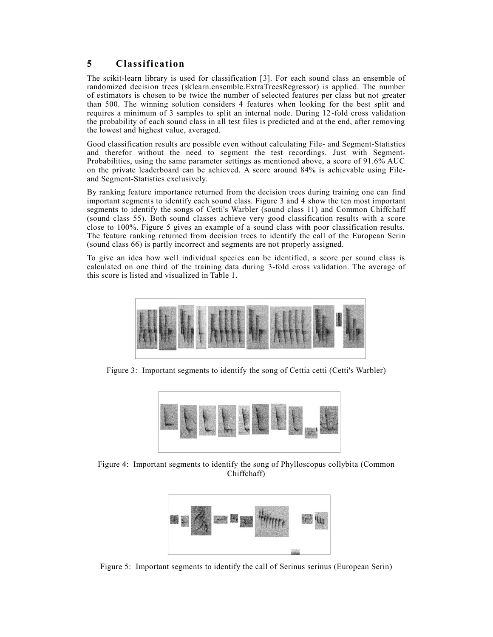# **5 Classification**

The scikit-learn library is used for classification [3]. For each sound class an ensemble of randomized decision trees (sklearn.ensemble.ExtraTreesRegressor) is applied. The number of estimators is chosen to be twice the number of selected features per class but not greater than 500. The winning solution considers 4 features when looking for the best split and requires a minimum of 3 samples to split an internal node. During 12 -fold cross validation the probability of each sound class in all test files is predicted and at the end, after removing the lowest and highest value, averaged.

Good classification results are possible even without calculating File- and Segment-Statistics and therefor without the need to segment the test recordings. Just with Segment-Probabilities, using the same parameter settings as mentioned above, a score of 91.6% AUC on the private leaderboard can be achieved. A score around 84% is achievable using Fileand Segment-Statistics exclusively.

By ranking feature importance returned from the decision trees during training one can find important segments to identify each sound class. Figure 3 and 4 show the ten most important segments to identify the songs of Cetti's Warbler (sound class 11) and Common Chiffchaff (sound class 55). Both sound classes achieve very good classification results with a score close to 100%. Figure 5 gives an example of a sound class with poor classification results. The feature ranking returned from decision trees to identify the call of the European Serin (sound class 66) is partly incorrect and segments are not properly assigned.

To give an idea how well individual species can be identified, a score per sound class is calculated on one third of the training data during 3-fold cross validation. The average of this score is listed and visualized in Table 1.



Figure 3: Important segments to identify the song of Cettia cetti (Cetti's Warbler)



Figure 4: Important segments to identify the song of Phylloscopus collybita (Common Chiffchaff)



Figure 5: Important segments to identify the call of Serinus serinus (European Serin)